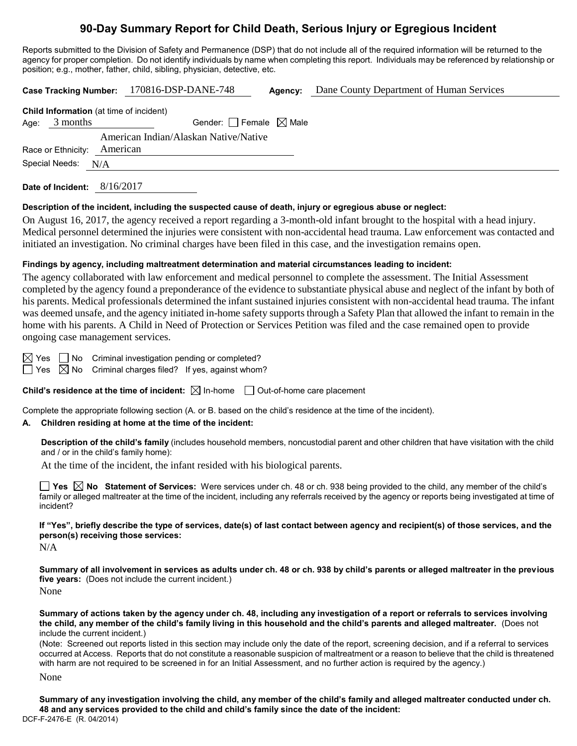# **90-Day Summary Report for Child Death, Serious Injury or Egregious Incident**

Reports submitted to the Division of Safety and Permanence (DSP) that do not include all of the required information will be returned to the agency for proper completion. Do not identify individuals by name when completing this report. Individuals may be referenced by relationship or position; e.g., mother, father, child, sibling, physician, detective, etc.

| Case Tracking Number: 170816-DSP-DANE-748 |          |          |                                                | Agency:                         | Dane County Department of Human Services |  |  |  |  |
|-------------------------------------------|----------|----------|------------------------------------------------|---------------------------------|------------------------------------------|--|--|--|--|
|                                           |          |          | <b>Child Information</b> (at time of incident) |                                 |                                          |  |  |  |  |
| Age:                                      | 3 months |          |                                                | Gender: Female $\boxtimes$ Male |                                          |  |  |  |  |
|                                           |          |          | American Indian/Alaskan Native/Native          |                                 |                                          |  |  |  |  |
| Race or Ethnicity:                        |          | American |                                                |                                 |                                          |  |  |  |  |
| Special Needs:                            |          | N/A      |                                                |                                 |                                          |  |  |  |  |
|                                           |          |          |                                                |                                 |                                          |  |  |  |  |

**Date of Incident:** 8/16/2017

#### **Description of the incident, including the suspected cause of death, injury or egregious abuse or neglect:**

On August 16, 2017, the agency received a report regarding a 3-month-old infant brought to the hospital with a head injury. Medical personnel determined the injuries were consistent with non-accidental head trauma. Law enforcement was contacted and initiated an investigation. No criminal charges have been filed in this case, and the investigation remains open.

#### **Findings by agency, including maltreatment determination and material circumstances leading to incident:**

The agency collaborated with law enforcement and medical personnel to complete the assessment. The Initial Assessment completed by the agency found a preponderance of the evidence to substantiate physical abuse and neglect of the infant by both of his parents. Medical professionals determined the infant sustained injuries consistent with non-accidental head trauma. The infant was deemed unsafe, and the agency initiated in-home safety supports through a Safety Plan that allowed the infant to remain in the home with his parents. A Child in Need of Protection or Services Petition was filed and the case remained open to provide ongoing case management services.

 $\boxtimes$  Yes  $\Box$  No Criminal investigation pending or completed?

 $\Box$  Yes  $\boxtimes$  No Criminal charges filed? If yes, against whom?

**Child's residence at the time of incident:** ⊠ In-home □ Out-of-home care placement

Complete the appropriate following section (A. or B. based on the child's residence at the time of the incident).

#### **A. Children residing at home at the time of the incident:**

**Description of the child's family** (includes household members, noncustodial parent and other children that have visitation with the child and / or in the child's family home):

At the time of the incident, the infant resided with his biological parents.

**Yes No Statement of Services:** Were services under ch. 48 or ch. 938 being provided to the child, any member of the child's family or alleged maltreater at the time of the incident, including any referrals received by the agency or reports being investigated at time of incident?

**If "Yes", briefly describe the type of services, date(s) of last contact between agency and recipient(s) of those services, and the person(s) receiving those services:**

 $N/A$ 

**Summary of all involvement in services as adults under ch. 48 or ch. 938 by child's parents or alleged maltreater in the previous five years:** (Does not include the current incident.) None

**Summary of actions taken by the agency under ch. 48, including any investigation of a report or referrals to services involving the child, any member of the child's family living in this household and the child's parents and alleged maltreater.** (Does not include the current incident.)

(Note: Screened out reports listed in this section may include only the date of the report, screening decision, and if a referral to services occurred at Access. Reports that do not constitute a reasonable suspicion of maltreatment or a reason to believe that the child is threatened with harm are not required to be screened in for an Initial Assessment, and no further action is required by the agency.)

None

DCF-F-2476-E (R. 04/2014) **Summary of any investigation involving the child, any member of the child's family and alleged maltreater conducted under ch. 48 and any services provided to the child and child's family since the date of the incident:**